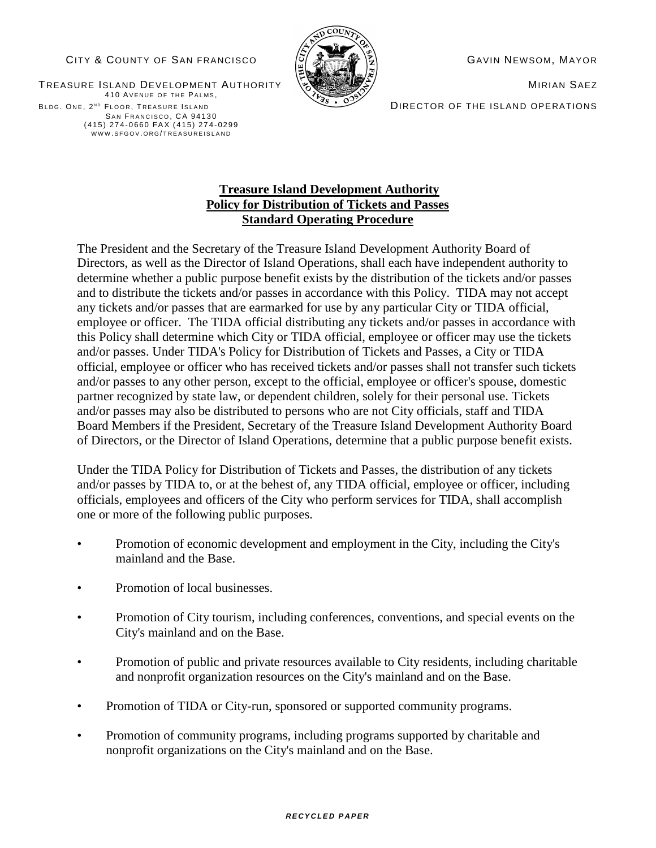### CITY & COUNTY OF SAN FRANCISCO  $\begin{bmatrix} \tilde{G} & \tilde{S} & \tilde{S} \\ \tilde{S} & \tilde{S} & \tilde{S} \end{bmatrix}$  Gavin Newsom, Mayor



DIRECTOR OF THE ISLAND OPERATIONS

TREASURE ISLAND DEVELOPMENT AUTHORITY NO SAINTS AND MIRIAN SAEZ 410 AVENUE OF THE PALMS, BLDG. ONE, 2ND FLOOR, TREASURE ISLAND SAN FRANCISCO, CA 94130 (415) 274-0660 FAX (415) 274-0299 WWW.SFGOV.ORG/TREASUREISLAND

## **Treasure Island Development Authority Policy for Distribution of Tickets and Passes Standard Operating Procedure**

 The President and the Secretary of the Treasure Island Development Authority Board of Directors, as well as the Director of Island Operations, shall each have independent authority to determine whether a public purpose benefit exists by the distribution of the tickets and/or passes and to distribute the tickets and/or passes in accordance with this Policy. TIDA may not accept any tickets and/or passes that are earmarked for use by any particular City or TIDA official, employee or officer. The TIDA official distributing any tickets and/or passes in accordance with this Policy shall determine which City or TIDA official, employee or officer may use the tickets and/or passes. Under TIDA's Policy for Distribution of Tickets and Passes, a City or TIDA official, employee or officer who has received tickets and/or passes shall not transfer such tickets and/or passes to any other person, except to the official, employee or officer's spouse, domestic partner recognized by state law, or dependent children, solely for their personal use. Tickets and/or passes may also be distributed to persons who are not City officials, staff and TIDA Board Members if the President, Secretary of the Treasure Island Development Authority Board of Directors, or the Director of Island Operations, determine that a public purpose benefit exists.

Under the TIDA Policy for Distribution of Tickets and Passes, the distribution of any tickets and/or passes by TIDA to, or at the behest of, any TIDA official, employee or officer, including officials, employees and officers of the City who perform services for TIDA, shall accomplish one or more of the following public purposes.

- Promotion of economic development and employment in the City, including the City's mainland and the Base.
- Promotion of local businesses.
- Promotion of City tourism, including conferences, conventions, and special events on the City's mainland and on the Base.
- Promotion of public and private resources available to City residents, including charitable and nonprofit organization resources on the City's mainland and on the Base.
- Promotion of TIDA or City-run, sponsored or supported community programs.
- Promotion of community programs, including programs supported by charitable and nonprofit organizations on the City's mainland and on the Base.

#### *R E C Y C LE D P A P E R*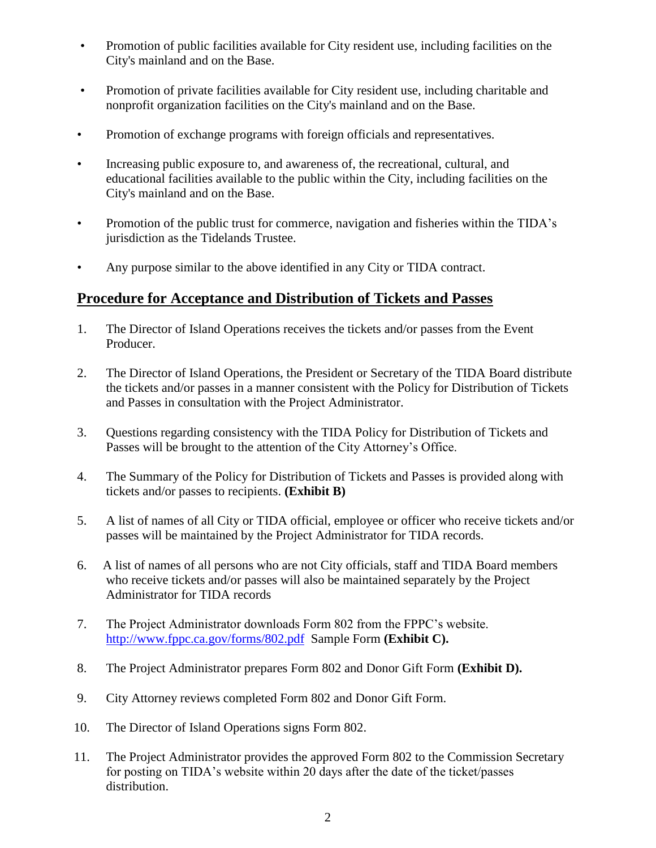- Promotion of public facilities available for City resident use, including facilities on the City's mainland and on the Base.
- Promotion of private facilities available for City resident use, including charitable and nonprofit organization facilities on the City's mainland and on the Base.
- Promotion of exchange programs with foreign officials and representatives.
- Increasing public exposure to, and awareness of, the recreational, cultural, and educational facilities available to the public within the City, including facilities on the City's mainland and on the Base.
- Promotion of the public trust for commerce, navigation and fisheries within the TIDA's jurisdiction as the Tidelands Trustee.
- Any purpose similar to the above identified in any City or TIDA contract.

# **Procedure for Acceptance and Distribution of Tickets and Passes**

- 1. The Director of Island Operations receives the tickets and/or passes from the Event Producer.
- 2. The Director of Island Operations, the President or Secretary of the TIDA Board distribute the tickets and/or passes in a manner consistent with the Policy for Distribution of Tickets and Passes in consultation with the Project Administrator.
- 3. Questions regarding consistency with the TIDA Policy for Distribution of Tickets and Passes will be brought to the attention of the City Attorney's Office.
- 4. The Summary of the Policy for Distribution of Tickets and Passes is provided along with tickets and/or passes to recipients. **(Exhibit B)**
- 5. A list of names of all City or TIDA official, employee or officer who receive tickets and/or passes will be maintained by the Project Administrator for TIDA records.
- 6. A list of names of all persons who are not City officials, staff and TIDA Board members who receive tickets and/or passes will also be maintained separately by the Project Administrator for TIDA records
- 7. The Project Administrator downloads Form 802 from the FPPC's website. <http://www.fppc.ca.gov/forms/802.pdf>Sample Form **(Exhibit C).**
- 8. The Project Administrator prepares Form 802 and Donor Gift Form **(Exhibit D).**
- 9. City Attorney reviews completed Form 802 and Donor Gift Form.
- 10. The Director of Island Operations signs Form 802.
- 11. The Project Administrator provides the approved Form 802 to the Commission Secretary for posting on TIDA's website within 20 days after the date of the ticket/passes distribution.